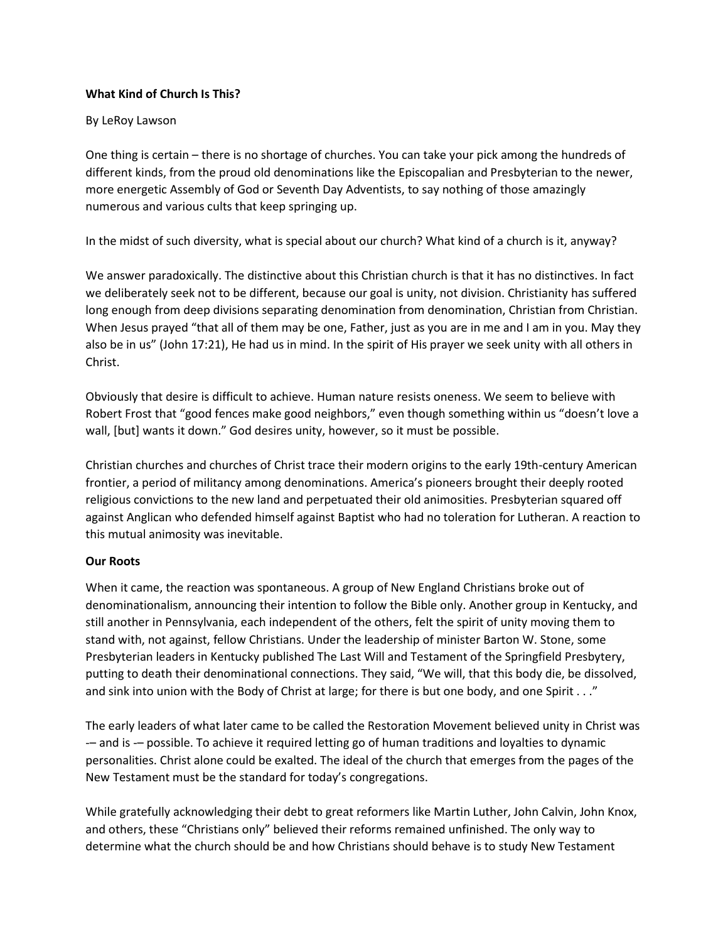# **What Kind of Church Is This?**

# By LeRoy Lawson

One thing is certain – there is no shortage of churches. You can take your pick among the hundreds of different kinds, from the proud old denominations like the Episcopalian and Presbyterian to the newer, more energetic Assembly of God or Seventh Day Adventists, to say nothing of those amazingly numerous and various cults that keep springing up.

In the midst of such diversity, what is special about our church? What kind of a church is it, anyway?

We answer paradoxically. The distinctive about this Christian church is that it has no distinctives. In fact we deliberately seek not to be different, because our goal is unity, not division. Christianity has suffered long enough from deep divisions separating denomination from denomination, Christian from Christian. When Jesus prayed "that all of them may be one, Father, just as you are in me and I am in you. May they also be in us" (John 17:21), He had us in mind. In the spirit of His prayer we seek unity with all others in Christ.

Obviously that desire is difficult to achieve. Human nature resists oneness. We seem to believe with Robert Frost that "good fences make good neighbors," even though something within us "doesn't love a wall, [but] wants it down." God desires unity, however, so it must be possible.

Christian churches and churches of Christ trace their modern origins to the early 19th-century American frontier, a period of militancy among denominations. America's pioneers brought their deeply rooted religious convictions to the new land and perpetuated their old animosities. Presbyterian squared off against Anglican who defended himself against Baptist who had no toleration for Lutheran. A reaction to this mutual animosity was inevitable.

## **Our Roots**

When it came, the reaction was spontaneous. A group of New England Christians broke out of denominationalism, announcing their intention to follow the Bible only. Another group in Kentucky, and still another in Pennsylvania, each independent of the others, felt the spirit of unity moving them to stand with, not against, fellow Christians. Under the leadership of minister Barton W. Stone, some Presbyterian leaders in Kentucky published The Last Will and Testament of the Springfield Presbytery, putting to death their denominational connections. They said, "We will, that this body die, be dissolved, and sink into union with the Body of Christ at large; for there is but one body, and one Spirit . . ."

The early leaders of what later came to be called the Restoration Movement believed unity in Christ was -– and is -– possible. To achieve it required letting go of human traditions and loyalties to dynamic personalities. Christ alone could be exalted. The ideal of the church that emerges from the pages of the New Testament must be the standard for today's congregations.

While gratefully acknowledging their debt to great reformers like Martin Luther, John Calvin, John Knox, and others, these "Christians only" believed their reforms remained unfinished. The only way to determine what the church should be and how Christians should behave is to study New Testament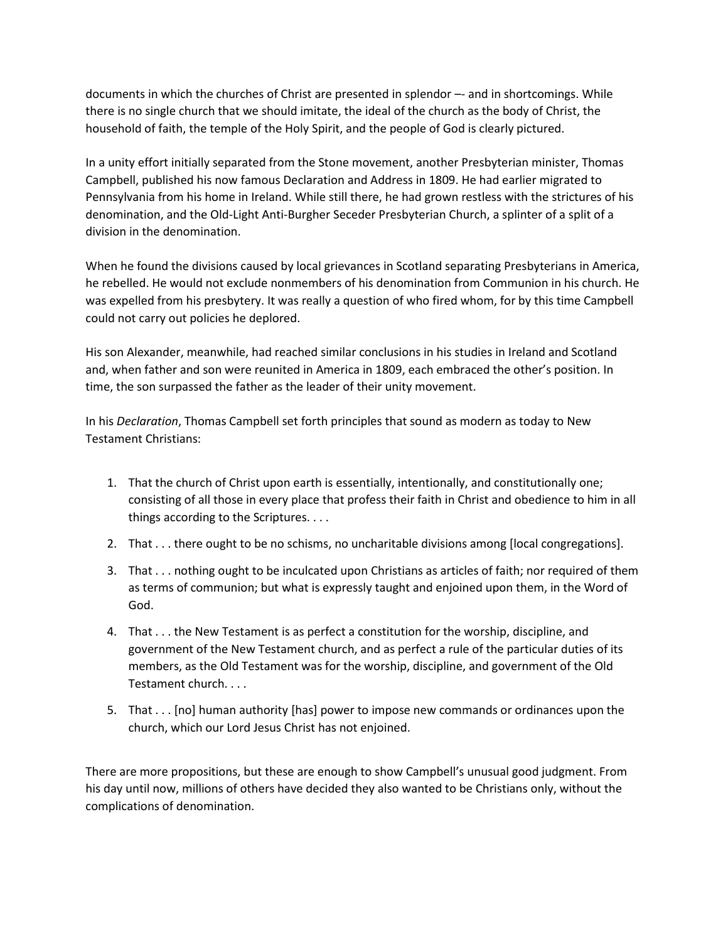documents in which the churches of Christ are presented in splendor –- and in shortcomings. While there is no single church that we should imitate, the ideal of the church as the body of Christ, the household of faith, the temple of the Holy Spirit, and the people of God is clearly pictured.

In a unity effort initially separated from the Stone movement, another Presbyterian minister, Thomas Campbell, published his now famous Declaration and Address in 1809. He had earlier migrated to Pennsylvania from his home in Ireland. While still there, he had grown restless with the strictures of his denomination, and the Old-Light Anti-Burgher Seceder Presbyterian Church, a splinter of a split of a division in the denomination.

When he found the divisions caused by local grievances in Scotland separating Presbyterians in America, he rebelled. He would not exclude nonmembers of his denomination from Communion in his church. He was expelled from his presbytery. It was really a question of who fired whom, for by this time Campbell could not carry out policies he deplored.

His son Alexander, meanwhile, had reached similar conclusions in his studies in Ireland and Scotland and, when father and son were reunited in America in 1809, each embraced the other's position. In time, the son surpassed the father as the leader of their unity movement.

In his *Declaration*, Thomas Campbell set forth principles that sound as modern as today to New Testament Christians:

- 1. That the church of Christ upon earth is essentially, intentionally, and constitutionally one; consisting of all those in every place that profess their faith in Christ and obedience to him in all things according to the Scriptures. . . .
- 2. That . . . there ought to be no schisms, no uncharitable divisions among [local congregations].
- 3. That . . . nothing ought to be inculcated upon Christians as articles of faith; nor required of them as terms of communion; but what is expressly taught and enjoined upon them, in the Word of God.
- 4. That . . . the New Testament is as perfect a constitution for the worship, discipline, and government of the New Testament church, and as perfect a rule of the particular duties of its members, as the Old Testament was for the worship, discipline, and government of the Old Testament church. . . .
- 5. That . . . [no] human authority [has] power to impose new commands or ordinances upon the church, which our Lord Jesus Christ has not enjoined.

There are more propositions, but these are enough to show Campbell's unusual good judgment. From his day until now, millions of others have decided they also wanted to be Christians only, without the complications of denomination.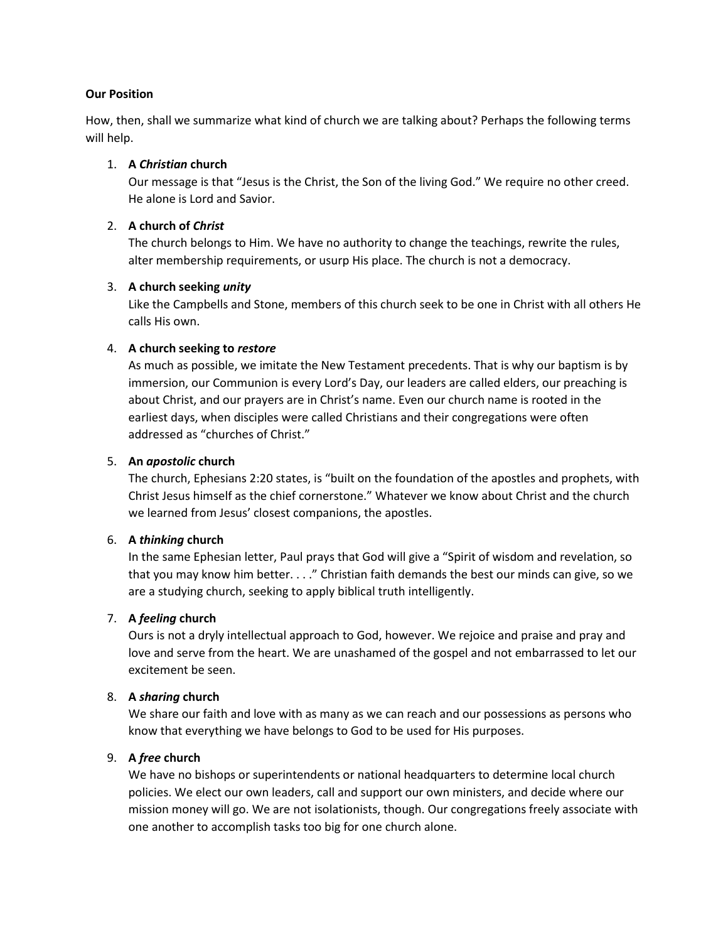## **Our Position**

How, then, shall we summarize what kind of church we are talking about? Perhaps the following terms will help.

#### 1. **A** *Christian* **church**

Our message is that "Jesus is the Christ, the Son of the living God." We require no other creed. He alone is Lord and Savior.

### 2. **A church of** *Christ*

The church belongs to Him. We have no authority to change the teachings, rewrite the rules, alter membership requirements, or usurp His place. The church is not a democracy.

#### 3. **A church seeking** *unity*

Like the Campbells and Stone, members of this church seek to be one in Christ with all others He calls His own.

#### 4. **A church seeking to** *restore*

As much as possible, we imitate the New Testament precedents. That is why our baptism is by immersion, our Communion is every Lord's Day, our leaders are called elders, our preaching is about Christ, and our prayers are in Christ's name. Even our church name is rooted in the earliest days, when disciples were called Christians and their congregations were often addressed as "churches of Christ."

#### 5. **An** *apostolic* **church**

The church, Ephesians 2:20 states, is "built on the foundation of the apostles and prophets, with Christ Jesus himself as the chief cornerstone." Whatever we know about Christ and the church we learned from Jesus' closest companions, the apostles.

#### 6. **A** *thinking* **church**

In the same Ephesian letter, Paul prays that God will give a "Spirit of wisdom and revelation, so that you may know him better. . . ." Christian faith demands the best our minds can give, so we are a studying church, seeking to apply biblical truth intelligently.

## 7. **A** *feeling* **church**

Ours is not a dryly intellectual approach to God, however. We rejoice and praise and pray and love and serve from the heart. We are unashamed of the gospel and not embarrassed to let our excitement be seen.

## 8. **A** *sharing* **church**

We share our faith and love with as many as we can reach and our possessions as persons who know that everything we have belongs to God to be used for His purposes.

# 9. **A** *free* **church**

We have no bishops or superintendents or national headquarters to determine local church policies. We elect our own leaders, call and support our own ministers, and decide where our mission money will go. We are not isolationists, though. Our congregations freely associate with one another to accomplish tasks too big for one church alone.